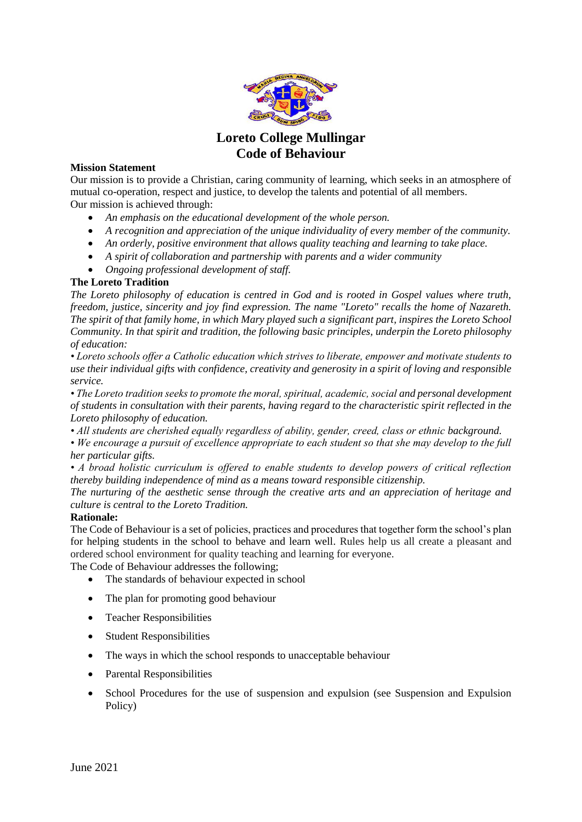

## **Loreto College Mullingar Code of Behaviour**

## **Mission Statement**

Our mission is to provide a Christian, caring community of learning, which seeks in an atmosphere of mutual co-operation, respect and justice, to develop the talents and potential of all members. Our mission is achieved through:

- *An emphasis on the educational development of the whole person.*
- *A recognition and appreciation of the unique individuality of every member of the community.*
- *An orderly, positive environment that allows quality teaching and learning to take place.*
- *A spirit of collaboration and partnership with parents and a wider community*
- *Ongoing professional development of staff.*

## **The Loreto Tradition**

*The Loreto philosophy of education is centred in God and is rooted in Gospel values where truth, freedom, justice, sincerity and joy find expression. The name "Loreto" recalls the home of Nazareth. The spirit of that family home, in which Mary played such a significant part, inspires the Loreto School Community. In that spirit and tradition, the following basic principles, underpin the Loreto philosophy of education:*

*• Loreto schools offer a Catholic education which strives to liberate, empower and motivate students to use their individual gifts with confidence, creativity and generosity in a spirit of loving and responsible service.*

*• The Loreto tradition seeks to promote the moral, spiritual, academic, social and personal development of students in consultation with their parents, having regard to the characteristic spirit reflected in the Loreto philosophy of education.*

• All students are cherished equally regardless of ability, gender, creed, class or ethnic background.

*• We encourage a pursuit of excellence appropriate to each student so that she may develop to the full her particular gifts.*

*• A broad holistic curriculum is offered to enable students to develop powers of critical reflection thereby building independence of mind as a means toward responsible citizenship.*

*The nurturing of the aesthetic sense through the creative arts and an appreciation of heritage and culture is central to the Loreto Tradition.*

## **Rationale:**

The Code of Behaviour is a set of policies, practices and procedures that together form the school's plan for helping students in the school to behave and learn well. Rules help us all create a pleasant and ordered school environment for quality teaching and learning for everyone.

The Code of Behaviour addresses the following;

- The standards of behaviour expected in school
- The plan for promoting good behaviour
- Teacher Responsibilities
- Student Responsibilities
- The ways in which the school responds to unacceptable behaviour
- Parental Responsibilities
- School Procedures for the use of suspension and expulsion (see Suspension and Expulsion Policy)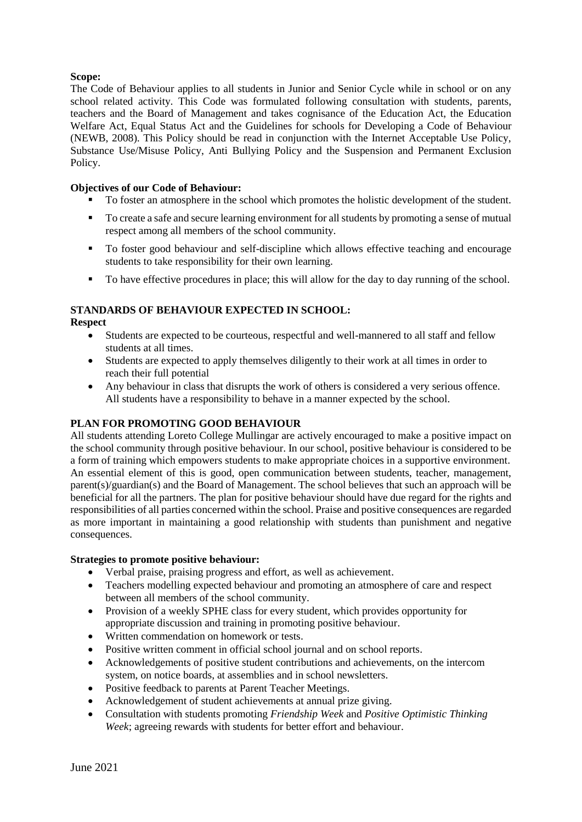## **Scope:**

The Code of Behaviour applies to all students in Junior and Senior Cycle while in school or on any school related activity. This Code was formulated following consultation with students, parents, teachers and the Board of Management and takes cognisance of the Education Act, the Education Welfare Act, Equal Status Act and the Guidelines for schools for Developing a Code of Behaviour (NEWB, 2008). This Policy should be read in conjunction with the Internet Acceptable Use Policy, Substance Use/Misuse Policy, Anti Bullying Policy and the Suspension and Permanent Exclusion Policy.

## **Objectives of our Code of Behaviour:**

- To foster an atmosphere in the school which promotes the holistic development of the student.
- To create a safe and secure learning environment for all students by promoting a sense of mutual respect among all members of the school community.
- To foster good behaviour and self-discipline which allows effective teaching and encourage students to take responsibility for their own learning.
- To have effective procedures in place; this will allow for the day to day running of the school.

### **STANDARDS OF BEHAVIOUR EXPECTED IN SCHOOL: Respect**

- Students are expected to be courteous, respectful and well-mannered to all staff and fellow students at all times.
- Students are expected to apply themselves diligently to their work at all times in order to reach their full potential
- Any behaviour in class that disrupts the work of others is considered a very serious offence. All students have a responsibility to behave in a manner expected by the school.

## **PLAN FOR PROMOTING GOOD BEHAVIOUR**

All students attending Loreto College Mullingar are actively encouraged to make a positive impact on the school community through positive behaviour. In our school, positive behaviour is considered to be a form of training which empowers students to make appropriate choices in a supportive environment. An essential element of this is good, open communication between students, teacher, management, parent(s)/guardian(s) and the Board of Management. The school believes that such an approach will be beneficial for all the partners. The plan for positive behaviour should have due regard for the rights and responsibilities of all parties concerned within the school. Praise and positive consequences are regarded as more important in maintaining a good relationship with students than punishment and negative consequences.

## **Strategies to promote positive behaviour:**

- Verbal praise, praising progress and effort, as well as achievement.
- Teachers modelling expected behaviour and promoting an atmosphere of care and respect between all members of the school community.
- Provision of a weekly SPHE class for every student, which provides opportunity for appropriate discussion and training in promoting positive behaviour.
- Written commendation on homework or tests.
- Positive written comment in official school journal and on school reports.
- Acknowledgements of positive student contributions and achievements, on the intercom system, on notice boards, at assemblies and in school newsletters.
- Positive feedback to parents at Parent Teacher Meetings.
- Acknowledgement of student achievements at annual prize giving.
- Consultation with students promoting *Friendship Week* and *Positive Optimistic Thinking Week*; agreeing rewards with students for better effort and behaviour.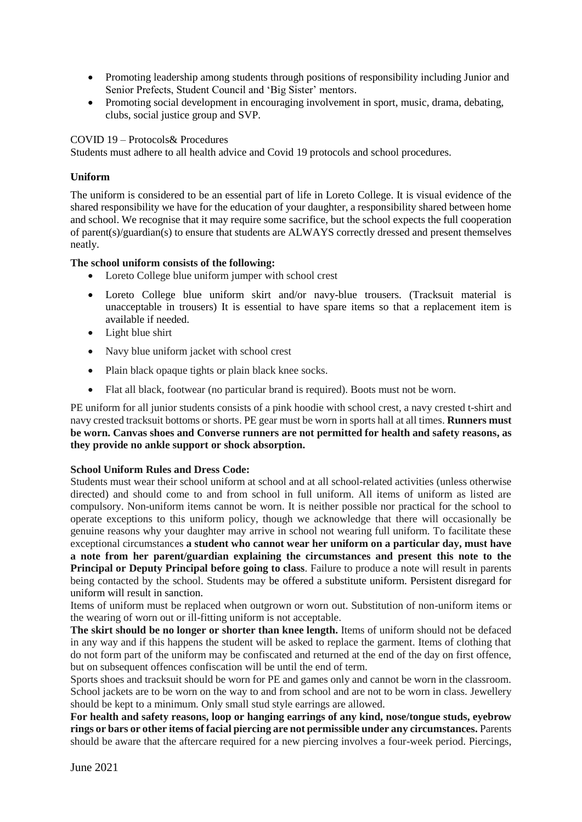- Promoting leadership among students through positions of responsibility including Junior and Senior Prefects, Student Council and 'Big Sister' mentors.
- Promoting social development in encouraging involvement in sport, music, drama, debating, clubs, social justice group and SVP.

## COVID 19 – Protocols& Procedures

Students must adhere to all health advice and Covid 19 protocols and school procedures.

## **Uniform**

The uniform is considered to be an essential part of life in Loreto College. It is visual evidence of the shared responsibility we have for the education of your daughter, a responsibility shared between home and school. We recognise that it may require some sacrifice, but the school expects the full cooperation of parent(s)/guardian(s) to ensure that students are ALWAYS correctly dressed and present themselves neatly.

## **The school uniform consists of the following:**

- Loreto College blue uniform jumper with school crest
- Loreto College blue uniform skirt and/or navy-blue trousers. (Tracksuit material is unacceptable in trousers) It is essential to have spare items so that a replacement item is available if needed.
- Light blue shirt
- Navy blue uniform jacket with school crest
- Plain black opaque tights or plain black knee socks.
- Flat all black, footwear (no particular brand is required). Boots must not be worn.

PE uniform for all junior students consists of a pink hoodie with school crest, a navy crested t-shirt and navy crested tracksuit bottoms or shorts. PE gear must be worn in sports hall at all times. **Runners must be worn. Canvas shoes and Converse runners are not permitted for health and safety reasons, as they provide no ankle support or shock absorption.** 

## **School Uniform Rules and Dress Code:**

Students must wear their school uniform at school and at all school-related activities (unless otherwise directed) and should come to and from school in full uniform. All items of uniform as listed are compulsory. Non-uniform items cannot be worn. It is neither possible nor practical for the school to operate exceptions to this uniform policy, though we acknowledge that there will occasionally be genuine reasons why your daughter may arrive in school not wearing full uniform. To facilitate these exceptional circumstances **a student who cannot wear her uniform on a particular day, must have a note from her parent/guardian explaining the circumstances and present this note to the Principal or Deputy Principal before going to class**. Failure to produce a note will result in parents being contacted by the school. Students may be offered a substitute uniform. Persistent disregard for uniform will result in sanction.

Items of uniform must be replaced when outgrown or worn out. Substitution of non-uniform items or the wearing of worn out or ill-fitting uniform is not acceptable.

**The skirt should be no longer or shorter than knee length.** Items of uniform should not be defaced in any way and if this happens the student will be asked to replace the garment. Items of clothing that do not form part of the uniform may be confiscated and returned at the end of the day on first offence, but on subsequent offences confiscation will be until the end of term.

Sports shoes and tracksuit should be worn for PE and games only and cannot be worn in the classroom. School jackets are to be worn on the way to and from school and are not to be worn in class. Jewellery should be kept to a minimum. Only small stud style earrings are allowed.

**For health and safety reasons, loop or hanging earrings of any kind, nose/tongue studs, eyebrow rings or bars or other items of facial piercing are not permissible under any circumstances.** Parents should be aware that the aftercare required for a new piercing involves a four-week period. Piercings,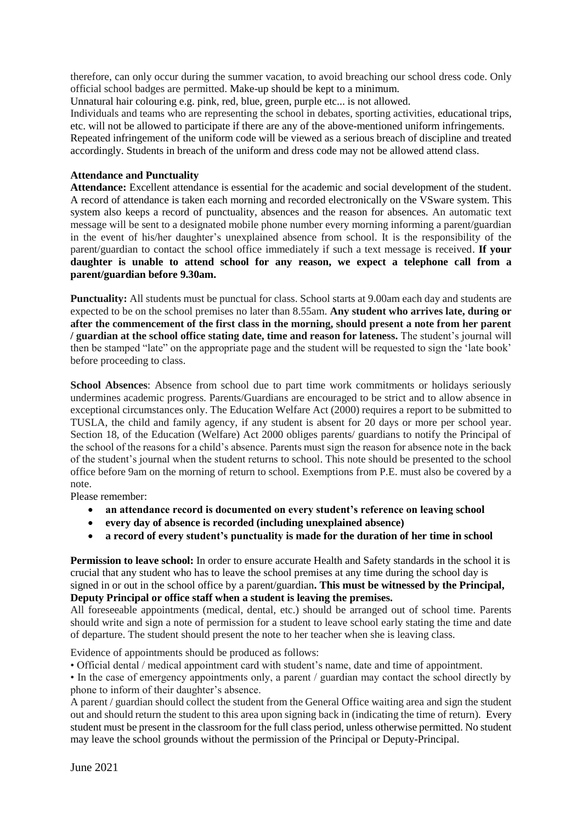therefore, can only occur during the summer vacation, to avoid breaching our school dress code. Only official school badges are permitted. Make-up should be kept to a minimum.

Unnatural hair colouring e.g. pink, red, blue, green, purple etc... is not allowed.

Individuals and teams who are representing the school in debates, sporting activities, educational trips, etc. will not be allowed to participate if there are any of the above-mentioned uniform infringements. Repeated infringement of the uniform code will be viewed as a serious breach of discipline and treated accordingly. Students in breach of the uniform and dress code may not be allowed attend class.

## **Attendance and Punctuality**

**Attendance:** Excellent attendance is essential for the academic and social development of the student. A record of attendance is taken each morning and recorded electronically on the VSware system. This system also keeps a record of punctuality, absences and the reason for absences. An automatic text message will be sent to a designated mobile phone number every morning informing a parent/guardian in the event of his/her daughter's unexplained absence from school. It is the responsibility of the parent/guardian to contact the school office immediately if such a text message is received. **If your daughter is unable to attend school for any reason, we expect a telephone call from a parent/guardian before 9.30am.**

**Punctuality:** All students must be punctual for class. School starts at 9.00am each day and students are expected to be on the school premises no later than 8.55am. **Any student who arrives late, during or after the commencement of the first class in the morning, should present a note from her parent / guardian at the school office stating date, time and reason for lateness.** The student's journal will then be stamped "late" on the appropriate page and the student will be requested to sign the 'late book' before proceeding to class.

**School Absences**: Absence from school due to part time work commitments or holidays seriously undermines academic progress. Parents/Guardians are encouraged to be strict and to allow absence in exceptional circumstances only. The Education Welfare Act (2000) requires a report to be submitted to TUSLA, the child and family agency, if any student is absent for 20 days or more per school year. Section 18, of the Education (Welfare) Act 2000 obliges parents/ guardians to notify the Principal of the school of the reasons for a child's absence. Parents must sign the reason for absence note in the back of the student's journal when the student returns to school. This note should be presented to the school office before 9am on the morning of return to school. Exemptions from P.E. must also be covered by a note.

Please remember:

- **an attendance record is documented on every student's reference on leaving school**
- **every day of absence is recorded (including unexplained absence)**
- **a record of every student's punctuality is made for the duration of her time in school**

**Permission to leave school:** In order to ensure accurate Health and Safety standards in the school it is crucial that any student who has to leave the school premises at any time during the school day is signed in or out in the school office by a parent/guardian**. This must be witnessed by the Principal, Deputy Principal or office staff when a student is leaving the premises.**

All foreseeable appointments (medical, dental, etc.) should be arranged out of school time. Parents should write and sign a note of permission for a student to leave school early stating the time and date of departure. The student should present the note to her teacher when she is leaving class.

Evidence of appointments should be produced as follows:

• Official dental / medical appointment card with student's name, date and time of appointment.

• In the case of emergency appointments only, a parent / guardian may contact the school directly by phone to inform of their daughter's absence.

A parent / guardian should collect the student from the General Office waiting area and sign the student out and should return the student to this area upon signing back in (indicating the time of return). Every student must be present in the classroom for the full class period, unless otherwise permitted. No student may leave the school grounds without the permission of the Principal or Deputy-Principal.

June 2021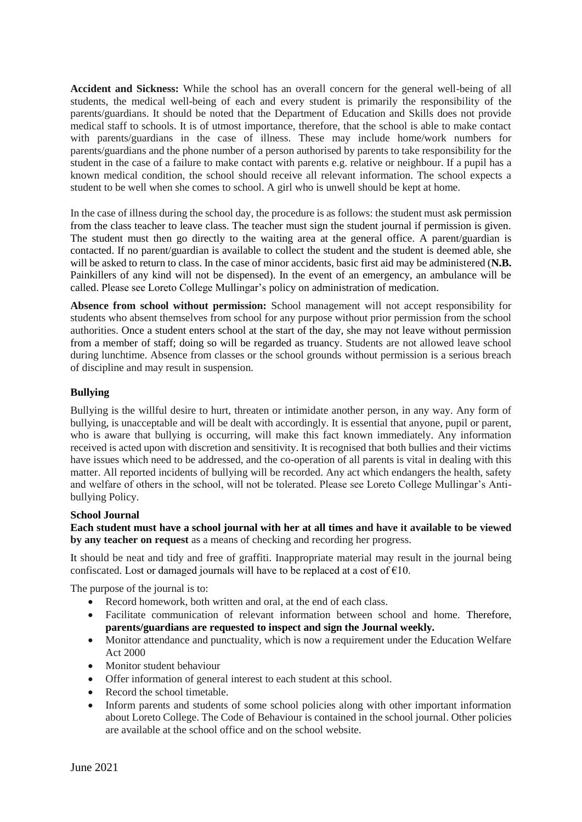**Accident and Sickness:** While the school has an overall concern for the general well-being of all students, the medical well-being of each and every student is primarily the responsibility of the parents/guardians. It should be noted that the Department of Education and Skills does not provide medical staff to schools. It is of utmost importance, therefore, that the school is able to make contact with parents/guardians in the case of illness. These may include home/work numbers for parents/guardians and the phone number of a person authorised by parents to take responsibility for the student in the case of a failure to make contact with parents e.g. relative or neighbour. If a pupil has a known medical condition, the school should receive all relevant information. The school expects a student to be well when she comes to school. A girl who is unwell should be kept at home.

In the case of illness during the school day, the procedure is as follows: the student must ask permission from the class teacher to leave class. The teacher must sign the student journal if permission is given. The student must then go directly to the waiting area at the general office. A parent/guardian is contacted. If no parent/guardian is available to collect the student and the student is deemed able, she will be asked to return to class. In the case of minor accidents, basic first aid may be administered (**N.B.**  Painkillers of any kind will not be dispensed). In the event of an emergency, an ambulance will be called. Please see Loreto College Mullingar's policy on administration of medication.

**Absence from school without permission:** School management will not accept responsibility for students who absent themselves from school for any purpose without prior permission from the school authorities. Once a student enters school at the start of the day, she may not leave without permission from a member of staff; doing so will be regarded as truancy. Students are not allowed leave school during lunchtime. Absence from classes or the school grounds without permission is a serious breach of discipline and may result in suspension.

## **Bullying**

Bullying is the willful desire to hurt, threaten or intimidate another person, in any way. Any form of bullying, is unacceptable and will be dealt with accordingly. It is essential that anyone, pupil or parent, who is aware that bullying is occurring, will make this fact known immediately. Any information received is acted upon with discretion and sensitivity. It is recognised that both bullies and their victims have issues which need to be addressed, and the co-operation of all parents is vital in dealing with this matter. All reported incidents of bullying will be recorded. Any act which endangers the health, safety and welfare of others in the school, will not be tolerated. Please see Loreto College Mullingar's Antibullying Policy.

## **School Journal**

**Each student must have a school journal with her at all times and have it available to be viewed by any teacher on request** as a means of checking and recording her progress.

It should be neat and tidy and free of graffiti. Inappropriate material may result in the journal being confiscated. Lost or damaged journals will have to be replaced at a cost of  $€10$ .

The purpose of the journal is to:

- Record homework, both written and oral, at the end of each class.
- Facilitate communication of relevant information between school and home. Therefore, **parents/guardians are requested to inspect and sign the Journal weekly.**
- Monitor attendance and punctuality, which is now a requirement under the Education Welfare Act 2000
- Monitor student behaviour
- Offer information of general interest to each student at this school.
- Record the school timetable.
- Inform parents and students of some school policies along with other important information about Loreto College. The Code of Behaviour is contained in the school journal. Other policies are available at the school office and on the school website.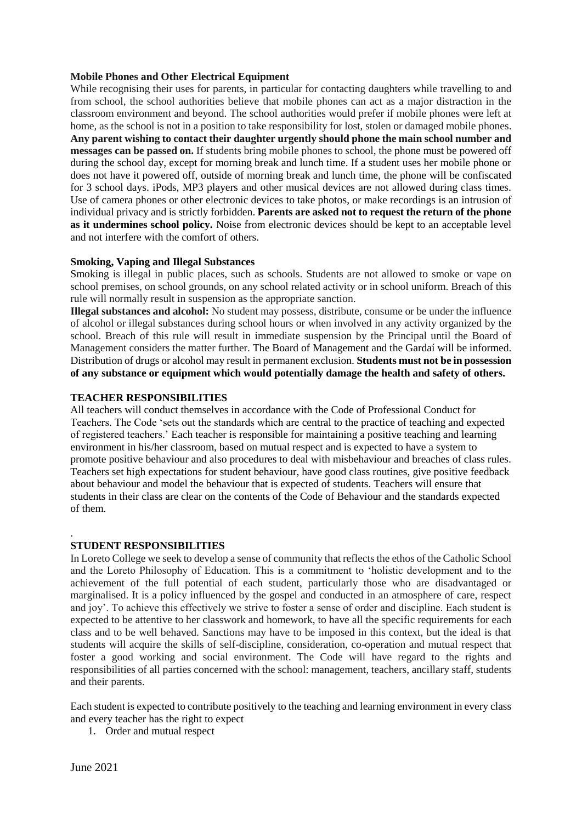## **Mobile Phones and Other Electrical Equipment**

While recognising their uses for parents, in particular for contacting daughters while travelling to and from school, the school authorities believe that mobile phones can act as a major distraction in the classroom environment and beyond. The school authorities would prefer if mobile phones were left at home, as the school is not in a position to take responsibility for lost, stolen or damaged mobile phones. **Any parent wishing to contact their daughter urgently should phone the main school number and messages can be passed on.** If students bring mobile phones to school, the phone must be powered off during the school day, except for morning break and lunch time. If a student uses her mobile phone or does not have it powered off, outside of morning break and lunch time, the phone will be confiscated for 3 school days. iPods, MP3 players and other musical devices are not allowed during class times. Use of camera phones or other electronic devices to take photos, or make recordings is an intrusion of individual privacy and is strictly forbidden. **Parents are asked not to request the return of the phone as it undermines school policy.** Noise from electronic devices should be kept to an acceptable level and not interfere with the comfort of others.

## **Smoking, Vaping and Illegal Substances**

Smoking is illegal in public places, such as schools. Students are not allowed to smoke or vape on school premises, on school grounds, on any school related activity or in school uniform. Breach of this rule will normally result in suspension as the appropriate sanction.

**Illegal substances and alcohol:** No student may possess, distribute, consume or be under the influence of alcohol or illegal substances during school hours or when involved in any activity organized by the school. Breach of this rule will result in immediate suspension by the Principal until the Board of Management considers the matter further. The Board of Management and the Gardaí will be informed. Distribution of drugs or alcohol may result in permanent exclusion. **Students must not be in possession of any substance or equipment which would potentially damage the health and safety of others.**

## **TEACHER RESPONSIBILITIES**

All teachers will conduct themselves in accordance with the Code of Professional Conduct for Teachers. The Code 'sets out the standards which are central to the practice of teaching and expected of registered teachers.' Each teacher is responsible for maintaining a positive teaching and learning environment in his/her classroom, based on mutual respect and is expected to have a system to promote positive behaviour and also procedures to deal with misbehaviour and breaches of class rules. Teachers set high expectations for student behaviour, have good class routines, give positive feedback about behaviour and model the behaviour that is expected of students. Teachers will ensure that students in their class are clear on the contents of the Code of Behaviour and the standards expected of them.

## **STUDENT RESPONSIBILITIES**

In Loreto College we seek to develop a sense of community that reflects the ethos of the Catholic School and the Loreto Philosophy of Education. This is a commitment to 'holistic development and to the achievement of the full potential of each student, particularly those who are disadvantaged or marginalised. It is a policy influenced by the gospel and conducted in an atmosphere of care, respect and joy'. To achieve this effectively we strive to foster a sense of order and discipline. Each student is expected to be attentive to her classwork and homework, to have all the specific requirements for each class and to be well behaved. Sanctions may have to be imposed in this context, but the ideal is that students will acquire the skills of self-discipline, consideration, co-operation and mutual respect that foster a good working and social environment. The Code will have regard to the rights and responsibilities of all parties concerned with the school: management, teachers, ancillary staff, students and their parents.

Each student is expected to contribute positively to the teaching and learning environment in every class and every teacher has the right to expect

1. Order and mutual respect

.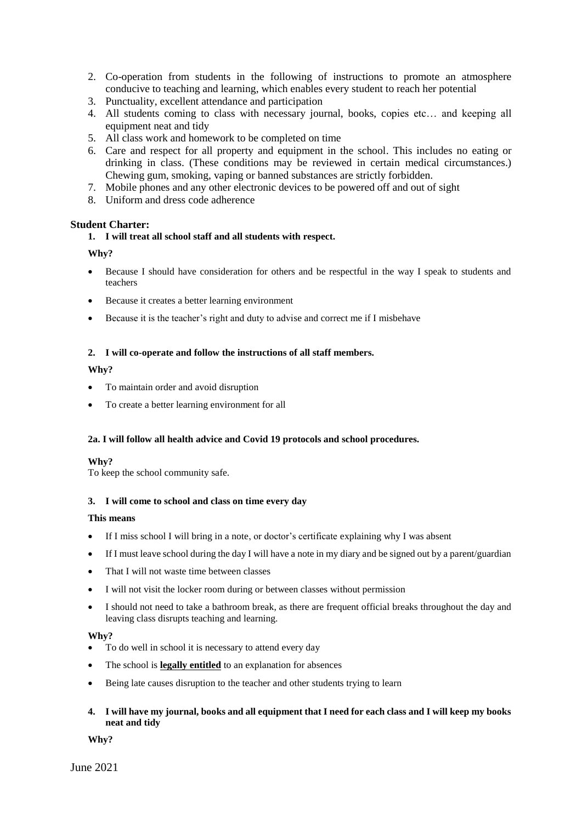2. Co-operation from students in the following of instructions to promote an atmosphere conducive to teaching and learning, which enables every student to reach her potential

- 3. Punctuality, excellent attendance and participation
- 4. All students coming to class with necessary journal, books, copies etc… and keeping all equipment neat and tidy
- 5. All class work and homework to be completed on time
- 6. Care and respect for all property and equipment in the school. This includes no eating or drinking in class. (These conditions may be reviewed in certain medical circumstances.) Chewing gum, smoking, vaping or banned substances are strictly forbidden.
- 7. Mobile phones and any other electronic devices to be powered off and out of sight
- 8. Uniform and dress code adherence

#### **Student Charter:**

#### **1. I will treat all school staff and all students with respect.**

#### **Why?**

- Because I should have consideration for others and be respectful in the way I speak to students and teachers
- Because it creates a better learning environment
- Because it is the teacher's right and duty to advise and correct me if I misbehave

#### **2. I will co-operate and follow the instructions of all staff members.**

#### **Why?**

- To maintain order and avoid disruption
- To create a better learning environment for all

#### **2a. I will follow all health advice and Covid 19 protocols and school procedures.**

#### **Why?**

To keep the school community safe.

#### **3. I will come to school and class on time every day**

#### **This means**

- If I miss school I will bring in a note, or doctor's certificate explaining why I was absent
- If I must leave school during the day I will have a note in my diary and be signed out by a parent/guardian
- That I will not waste time between classes
- I will not visit the locker room during or between classes without permission
- I should not need to take a bathroom break, as there are frequent official breaks throughout the day and leaving class disrupts teaching and learning.

#### **Why?**

- To do well in school it is necessary to attend every day
- The school is **legally entitled** to an explanation for absences
- Being late causes disruption to the teacher and other students trying to learn

## **4. I will have my journal, books and all equipment that I need for each class and I will keep my books neat and tidy**

**Why?**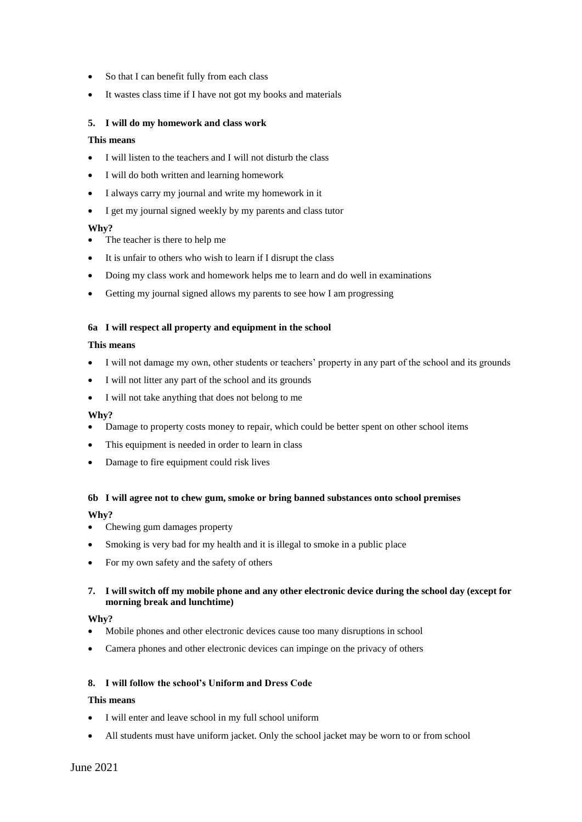- So that I can benefit fully from each class
- It wastes class time if I have not got my books and materials

#### **5. I will do my homework and class work**

#### **This means**

- I will listen to the teachers and I will not disturb the class
- I will do both written and learning homework
- I always carry my journal and write my homework in it
- I get my journal signed weekly by my parents and class tutor

#### **Why?**

- The teacher is there to help me
- It is unfair to others who wish to learn if I disrupt the class
- Doing my class work and homework helps me to learn and do well in examinations
- Getting my journal signed allows my parents to see how I am progressing

#### **6a I will respect all property and equipment in the school**

#### **This means**

- I will not damage my own, other students or teachers' property in any part of the school and its grounds
- I will not litter any part of the school and its grounds
- I will not take anything that does not belong to me

#### **Why?**

- Damage to property costs money to repair, which could be better spent on other school items
- This equipment is needed in order to learn in class
- Damage to fire equipment could risk lives

# **6b I will agree not to chew gum, smoke or bring banned substances onto school premises**

## **Why?**

- Chewing gum damages property
- Smoking is very bad for my health and it is illegal to smoke in a public place
- For my own safety and the safety of others

## **7. I will switch off my mobile phone and any other electronic device during the school day (except for morning break and lunchtime)**

#### **Why?**

- Mobile phones and other electronic devices cause too many disruptions in school
- Camera phones and other electronic devices can impinge on the privacy of others

## **8. I will follow the school's Uniform and Dress Code**

#### **This means**

- I will enter and leave school in my full school uniform
- All students must have uniform jacket. Only the school jacket may be worn to or from school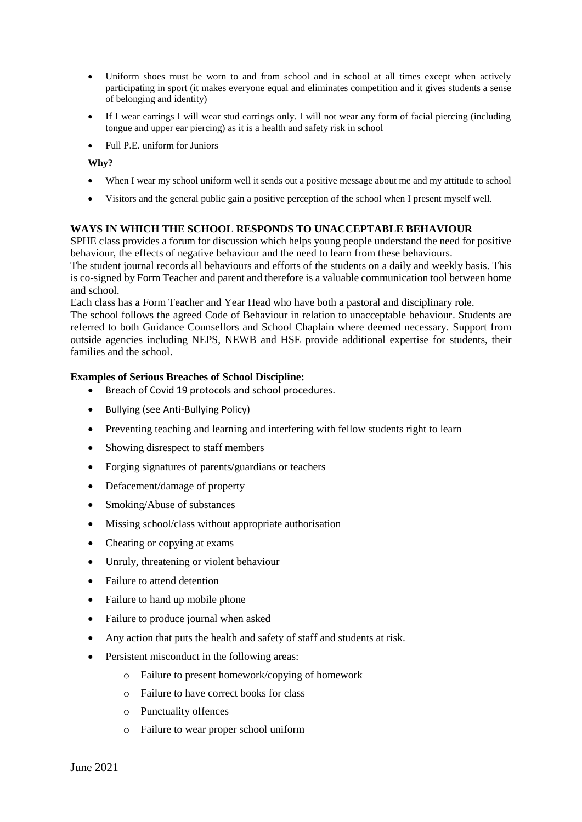- Uniform shoes must be worn to and from school and in school at all times except when actively participating in sport (it makes everyone equal and eliminates competition and it gives students a sense of belonging and identity)
- If I wear earrings I will wear stud earrings only. I will not wear any form of facial piercing (including tongue and upper ear piercing) as it is a health and safety risk in school
- Full P.E. uniform for Juniors

**Why?**

- When I wear my school uniform well it sends out a positive message about me and my attitude to school
- Visitors and the general public gain a positive perception of the school when I present myself well.

## **WAYS IN WHICH THE SCHOOL RESPONDS TO UNACCEPTABLE BEHAVIOUR**

SPHE class provides a forum for discussion which helps young people understand the need for positive behaviour, the effects of negative behaviour and the need to learn from these behaviours.

The student journal records all behaviours and efforts of the students on a daily and weekly basis. This is co-signed by Form Teacher and parent and therefore is a valuable communication tool between home and school.

Each class has a Form Teacher and Year Head who have both a pastoral and disciplinary role.

The school follows the agreed Code of Behaviour in relation to unacceptable behaviour. Students are referred to both Guidance Counsellors and School Chaplain where deemed necessary. Support from outside agencies including NEPS, NEWB and HSE provide additional expertise for students, their families and the school.

#### **Examples of Serious Breaches of School Discipline:**

- Breach of Covid 19 protocols and school procedures.
- Bullying (see Anti-Bullying Policy)
- Preventing teaching and learning and interfering with fellow students right to learn
- Showing disrespect to staff members
- Forging signatures of parents/guardians or teachers
- Defacement/damage of property
- Smoking/Abuse of substances
- Missing school/class without appropriate authorisation
- Cheating or copying at exams
- Unruly, threatening or violent behaviour
- Failure to attend detention
- Failure to hand up mobile phone
- Failure to produce journal when asked
- Any action that puts the health and safety of staff and students at risk.
- Persistent misconduct in the following areas:
	- o Failure to present homework/copying of homework
	- o Failure to have correct books for class
	- o Punctuality offences
	- o Failure to wear proper school uniform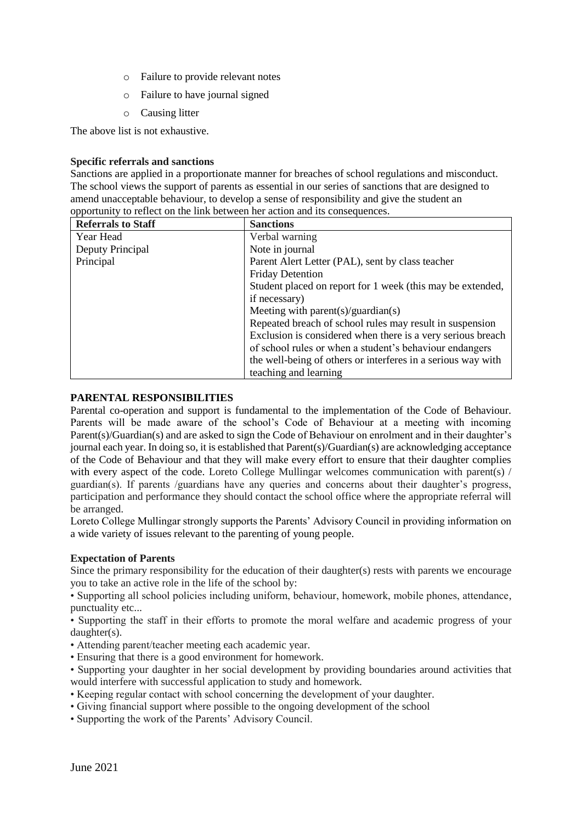- o Failure to provide relevant notes
- o Failure to have journal signed
- o Causing litter

The above list is not exhaustive.

#### **Specific referrals and sanctions**

Sanctions are applied in a proportionate manner for breaches of school regulations and misconduct. The school views the support of parents as essential in our series of sanctions that are designed to amend unacceptable behaviour, to develop a sense of responsibility and give the student an opportunity to reflect on the link between her action and its consequences.

| <b>Referrals to Staff</b> | <b>Sanctions</b>                                             |
|---------------------------|--------------------------------------------------------------|
| Year Head                 | Verbal warning                                               |
| Deputy Principal          | Note in journal                                              |
| Principal                 | Parent Alert Letter (PAL), sent by class teacher             |
|                           | <b>Friday Detention</b>                                      |
|                           | Student placed on report for 1 week (this may be extended,   |
|                           | if necessary)                                                |
|                           | Meeting with parent(s)/guardian(s)                           |
|                           | Repeated breach of school rules may result in suspension     |
|                           | Exclusion is considered when there is a very serious breach  |
|                           | of school rules or when a student's behaviour endangers      |
|                           | the well-being of others or interferes in a serious way with |
|                           | teaching and learning                                        |

#### **PARENTAL RESPONSIBILITIES**

Parental co-operation and support is fundamental to the implementation of the Code of Behaviour. Parents will be made aware of the school's Code of Behaviour at a meeting with incoming Parent(s)/Guardian(s) and are asked to sign the Code of Behaviour on enrolment and in their daughter's journal each year. In doing so, it is established that Parent(s)/Guardian(s) are acknowledging acceptance of the Code of Behaviour and that they will make every effort to ensure that their daughter complies with every aspect of the code. Loreto College Mullingar welcomes communication with parent(s) / guardian(s). If parents /guardians have any queries and concerns about their daughter's progress, participation and performance they should contact the school office where the appropriate referral will be arranged.

Loreto College Mullingar strongly supports the Parents' Advisory Council in providing information on a wide variety of issues relevant to the parenting of young people.

## **Expectation of Parents**

Since the primary responsibility for the education of their daughter(s) rests with parents we encourage you to take an active role in the life of the school by:

• Supporting all school policies including uniform, behaviour, homework, mobile phones, attendance, punctuality etc...

• Supporting the staff in their efforts to promote the moral welfare and academic progress of your daughter(s).

- Attending parent/teacher meeting each academic year.
- Ensuring that there is a good environment for homework.
- Supporting your daughter in her social development by providing boundaries around activities that would interfere with successful application to study and homework.
- Keeping regular contact with school concerning the development of your daughter.
- Giving financial support where possible to the ongoing development of the school
- Supporting the work of the Parents' Advisory Council.